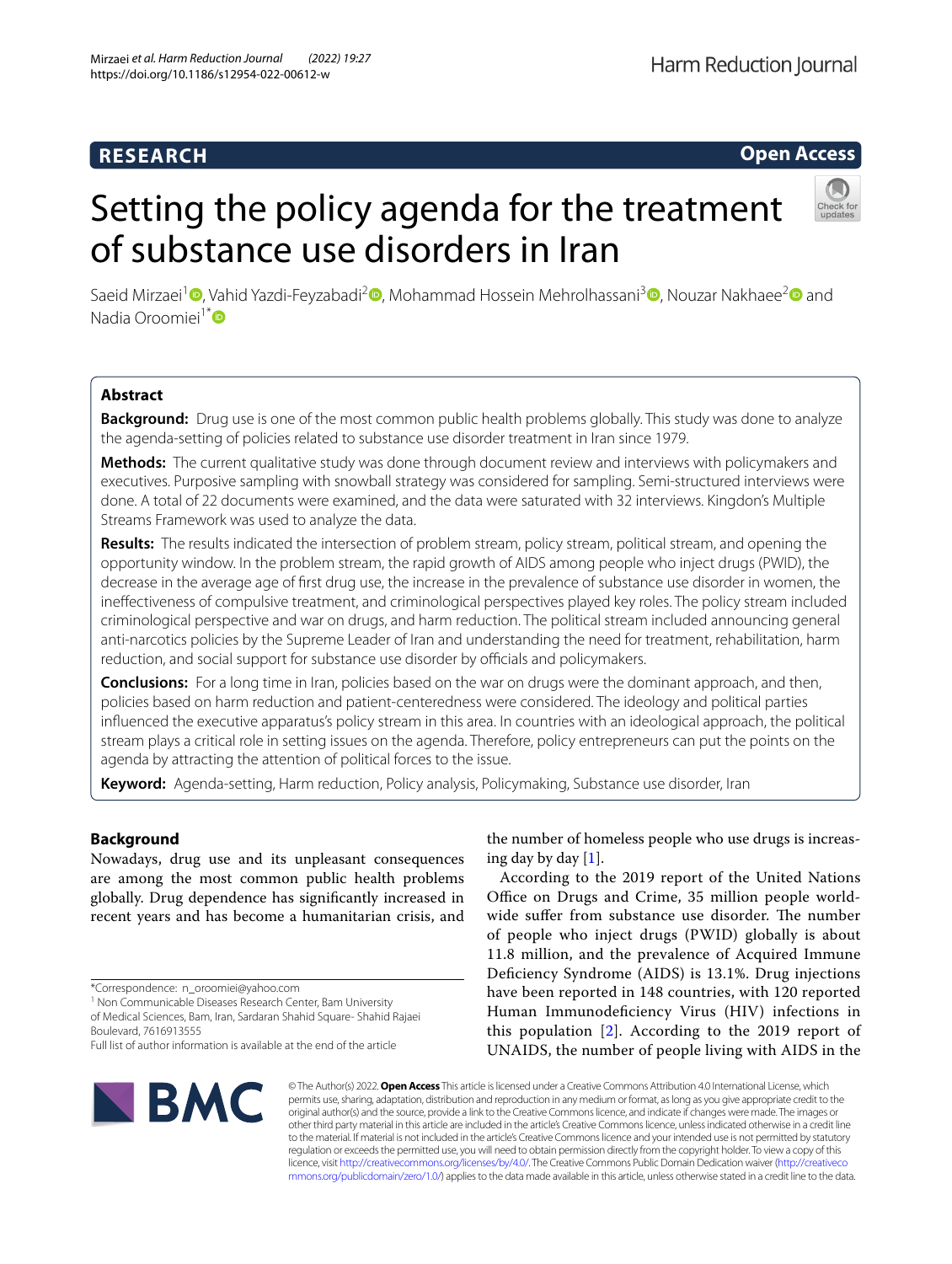## **RESEARCH**

**Open Access**

Harm Reduction Journal

# Setting the policy agenda for the treatment of substance use disorders in Iran



Saeid Mirzaei<sup>1</sup> <sup>(D</sup>. Vahid Yazdi-Feyzabadi<sup>[2](http://orcid.org/0000-0001-5808-6503)</sup> (D. Mohammad Hossein Mehrolhassani<sup>3</sup> (D. Nouzar Nakhaee<sup>2</sup> (D. and Nadia Oroomiei<sup>1[\\*](http://orcid.org/0000-0003-3278-3647)</sup>®

## **Abstract**

**Background:** Drug use is one of the most common public health problems globally. This study was done to analyze the agenda-setting of policies related to substance use disorder treatment in Iran since 1979.

**Methods:** The current qualitative study was done through document review and interviews with policymakers and executives. Purposive sampling with snowball strategy was considered for sampling. Semi-structured interviews were done. A total of 22 documents were examined, and the data were saturated with 32 interviews. Kingdon's Multiple Streams Framework was used to analyze the data.

**Results:** The results indicated the intersection of problem stream, policy stream, political stream, and opening the opportunity window. In the problem stream, the rapid growth of AIDS among people who inject drugs (PWID), the decrease in the average age of frst drug use, the increase in the prevalence of substance use disorder in women, the inefectiveness of compulsive treatment, and criminological perspectives played key roles. The policy stream included criminological perspective and war on drugs, and harm reduction. The political stream included announcing general anti-narcotics policies by the Supreme Leader of Iran and understanding the need for treatment, rehabilitation, harm reduction, and social support for substance use disorder by officials and policymakers.

**Conclusions:** For a long time in Iran, policies based on the war on drugs were the dominant approach, and then, policies based on harm reduction and patient-centeredness were considered. The ideology and political parties infuenced the executive apparatus's policy stream in this area. In countries with an ideological approach, the political stream plays a critical role in setting issues on the agenda. Therefore, policy entrepreneurs can put the points on the agenda by attracting the attention of political forces to the issue.

**Keyword:** Agenda-setting, Harm reduction, Policy analysis, Policymaking, Substance use disorder, Iran

## **Background**

Nowadays, drug use and its unpleasant consequences are among the most common public health problems globally. Drug dependence has signifcantly increased in recent years and has become a humanitarian crisis, and

<sup>1</sup> Non Communicable Diseases Research Center, Bam University of Medical Sciences, Bam, Iran, Sardaran Shahid Square‑ Shahid Rajaei

Boulevard, 7616913555

the number of homeless people who use drugs is increasing day by day [[1\]](#page-8-0).

According to the 2019 report of the United Nations Office on Drugs and Crime, 35 million people worldwide suffer from substance use disorder. The number of people who inject drugs (PWID) globally is about 11.8 million, and the prevalence of Acquired Immune Deficiency Syndrome (AIDS) is 13.1%. Drug injections have been reported in 148 countries, with 120 reported Human Immunodefciency Virus (HIV) infections in this population  $[2]$  $[2]$  $[2]$ . According to the 2019 report of UNAIDS, the number of people living with AIDS in the



© The Author(s) 2022. **Open Access** This article is licensed under a Creative Commons Attribution 4.0 International License, which permits use, sharing, adaptation, distribution and reproduction in any medium or format, as long as you give appropriate credit to the original author(s) and the source, provide a link to the Creative Commons licence, and indicate if changes were made. The images or other third party material in this article are included in the article's Creative Commons licence, unless indicated otherwise in a credit line to the material. If material is not included in the article's Creative Commons licence and your intended use is not permitted by statutory regulation or exceeds the permitted use, you will need to obtain permission directly from the copyright holder. To view a copy of this licence, visit [http://creativecommons.org/licenses/by/4.0/.](http://creativecommons.org/licenses/by/4.0/) The Creative Commons Public Domain Dedication waiver ([http://creativeco](http://creativecommons.org/publicdomain/zero/1.0/) [mmons.org/publicdomain/zero/1.0/](http://creativecommons.org/publicdomain/zero/1.0/)) applies to the data made available in this article, unless otherwise stated in a credit line to the data.

<sup>\*</sup>Correspondence: n\_oroomiei@yahoo.com

Full list of author information is available at the end of the article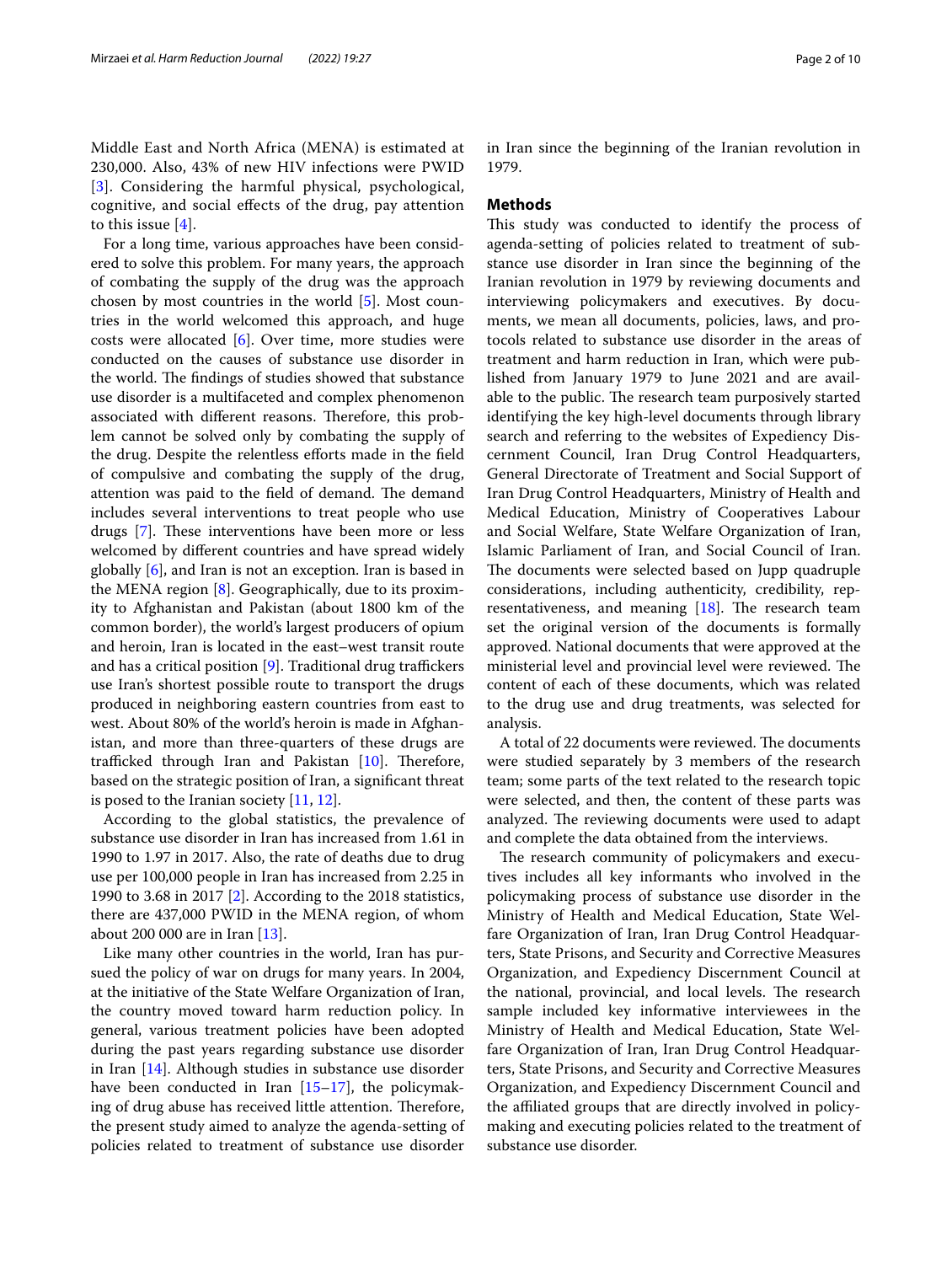Middle East and North Africa (MENA) is estimated at 230,000. Also, 43% of new HIV infections were PWID [[3](#page-8-2)]. Considering the harmful physical, psychological, cognitive, and social efects of the drug, pay attention to this issue  $[4]$  $[4]$ .

For a long time, various approaches have been considered to solve this problem. For many years, the approach of combating the supply of the drug was the approach chosen by most countries in the world [[5\]](#page-8-4). Most countries in the world welcomed this approach, and huge costs were allocated  $[6]$  $[6]$ . Over time, more studies were conducted on the causes of substance use disorder in the world. The findings of studies showed that substance use disorder is a multifaceted and complex phenomenon associated with different reasons. Therefore, this problem cannot be solved only by combating the supply of the drug. Despite the relentless eforts made in the feld of compulsive and combating the supply of the drug, attention was paid to the field of demand. The demand includes several interventions to treat people who use drugs [\[7](#page-8-6)]. These interventions have been more or less welcomed by diferent countries and have spread widely globally [\[6](#page-8-5)], and Iran is not an exception. Iran is based in the MENA region [[8](#page-8-7)]. Geographically, due to its proximity to Afghanistan and Pakistan (about 1800 km of the common border), the world's largest producers of opium and heroin, Iran is located in the east–west transit route and has a critical position  $[9]$  $[9]$ . Traditional drug traffickers use Iran's shortest possible route to transport the drugs produced in neighboring eastern countries from east to west. About 80% of the world's heroin is made in Afghanistan, and more than three-quarters of these drugs are trafficked through Iran and Pakistan  $[10]$  $[10]$  $[10]$ . Therefore, based on the strategic position of Iran, a signifcant threat is posed to the Iranian society [[11,](#page-8-10) [12](#page-8-11)].

According to the global statistics, the prevalence of substance use disorder in Iran has increased from 1.61 in 1990 to 1.97 in 2017. Also, the rate of deaths due to drug use per 100,000 people in Iran has increased from 2.25 in 1990 to 3.68 in 2017 [[2\]](#page-8-1). According to the 2018 statistics, there are 437,000 PWID in the MENA region, of whom about 200 000 are in Iran [\[13](#page-8-12)].

Like many other countries in the world, Iran has pursued the policy of war on drugs for many years. In 2004, at the initiative of the State Welfare Organization of Iran, the country moved toward harm reduction policy. In general, various treatment policies have been adopted during the past years regarding substance use disorder in Iran [[14\]](#page-8-13). Although studies in substance use disorder have been conducted in Iran [[15–](#page-8-14)[17](#page-8-15)], the policymaking of drug abuse has received little attention. Therefore, the present study aimed to analyze the agenda-setting of policies related to treatment of substance use disorder in Iran since the beginning of the Iranian revolution in 1979.

## **Methods**

This study was conducted to identify the process of agenda-setting of policies related to treatment of substance use disorder in Iran since the beginning of the Iranian revolution in 1979 by reviewing documents and interviewing policymakers and executives. By documents, we mean all documents, policies, laws, and protocols related to substance use disorder in the areas of treatment and harm reduction in Iran, which were published from January 1979 to June 2021 and are available to the public. The research team purposively started identifying the key high-level documents through library search and referring to the websites of Expediency Discernment Council, Iran Drug Control Headquarters, General Directorate of Treatment and Social Support of Iran Drug Control Headquarters, Ministry of Health and Medical Education, Ministry of Cooperatives Labour and Social Welfare, State Welfare Organization of Iran, Islamic Parliament of Iran, and Social Council of Iran. The documents were selected based on Jupp quadruple considerations, including authenticity, credibility, representativeness, and meaning  $[18]$ . The research team set the original version of the documents is formally approved. National documents that were approved at the ministerial level and provincial level were reviewed. The content of each of these documents, which was related to the drug use and drug treatments, was selected for analysis.

A total of 22 documents were reviewed. The documents were studied separately by 3 members of the research team; some parts of the text related to the research topic were selected, and then, the content of these parts was analyzed. The reviewing documents were used to adapt and complete the data obtained from the interviews.

The research community of policymakers and executives includes all key informants who involved in the policymaking process of substance use disorder in the Ministry of Health and Medical Education, State Welfare Organization of Iran, Iran Drug Control Headquarters, State Prisons, and Security and Corrective Measures Organization, and Expediency Discernment Council at the national, provincial, and local levels. The research sample included key informative interviewees in the Ministry of Health and Medical Education, State Welfare Organization of Iran, Iran Drug Control Headquarters, State Prisons, and Security and Corrective Measures Organization, and Expediency Discernment Council and the affiliated groups that are directly involved in policymaking and executing policies related to the treatment of substance use disorder.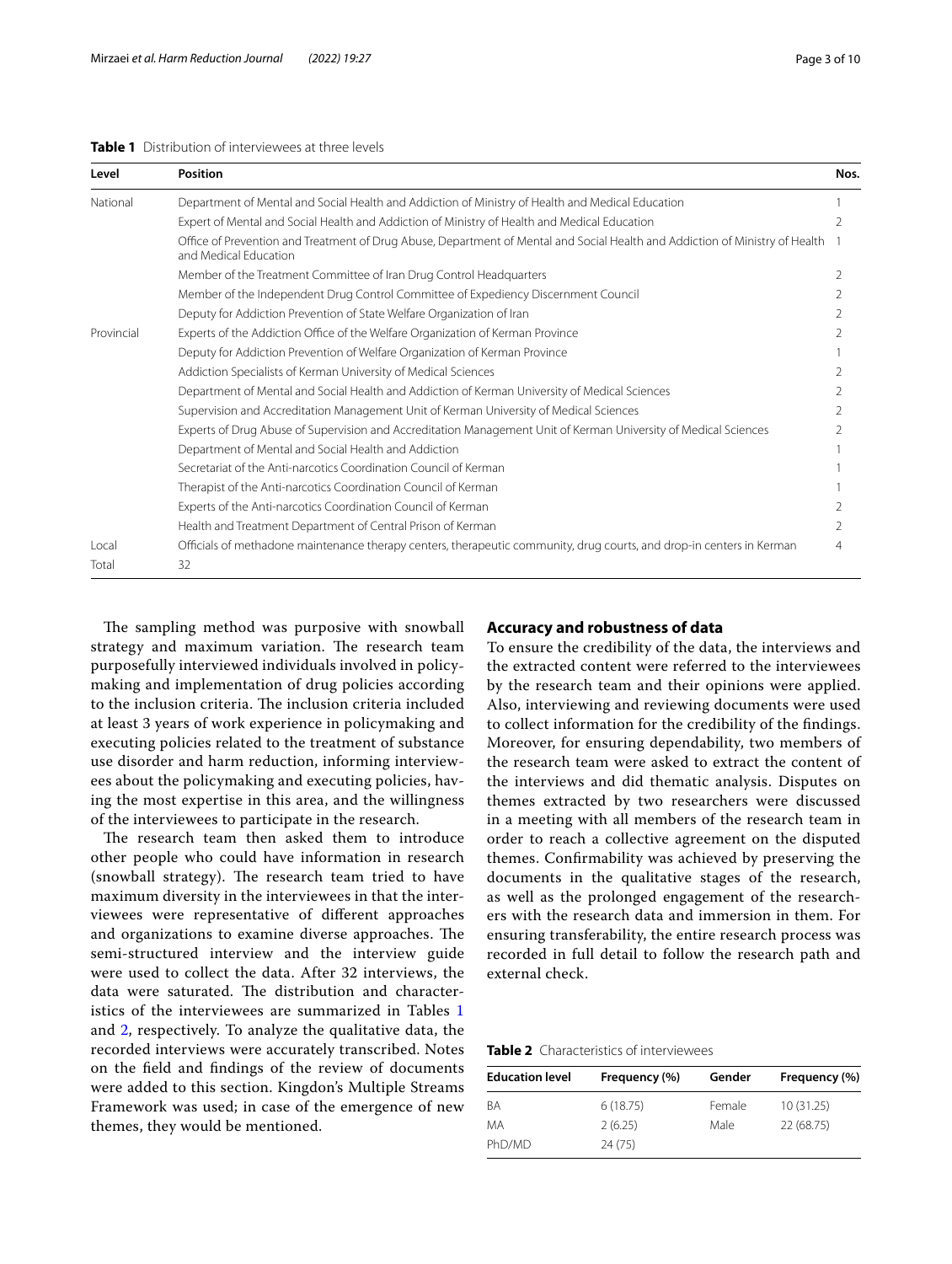## <span id="page-2-0"></span>**Table 1** Distribution of interviewees at three levels

| Level      | Position                                                                                                                                              | Nos. |
|------------|-------------------------------------------------------------------------------------------------------------------------------------------------------|------|
| National   | Department of Mental and Social Health and Addiction of Ministry of Health and Medical Education                                                      |      |
|            | Expert of Mental and Social Health and Addiction of Ministry of Health and Medical Education                                                          |      |
|            | Office of Prevention and Treatment of Drug Abuse, Department of Mental and Social Health and Addiction of Ministry of Health<br>and Medical Education |      |
|            | Member of the Treatment Committee of Iran Drug Control Headquarters                                                                                   | 2    |
|            | Member of the Independent Drug Control Committee of Expediency Discernment Council                                                                    |      |
|            | Deputy for Addiction Prevention of State Welfare Organization of Iran                                                                                 |      |
| Provincial | Experts of the Addiction Office of the Welfare Organization of Kerman Province                                                                        |      |
|            | Deputy for Addiction Prevention of Welfare Organization of Kerman Province                                                                            |      |
|            | Addiction Specialists of Kerman University of Medical Sciences                                                                                        | 2    |
|            | Department of Mental and Social Health and Addiction of Kerman University of Medical Sciences                                                         |      |
|            | Supervision and Accreditation Management Unit of Kerman University of Medical Sciences                                                                |      |
|            | Experts of Drug Abuse of Supervision and Accreditation Management Unit of Kerman University of Medical Sciences                                       |      |
|            | Department of Mental and Social Health and Addiction                                                                                                  |      |
|            | Secretariat of the Anti-narcotics Coordination Council of Kerman                                                                                      |      |
|            | Therapist of the Anti-narcotics Coordination Council of Kerman                                                                                        |      |
|            | Experts of the Anti-narcotics Coordination Council of Kerman                                                                                          |      |
|            | Health and Treatment Department of Central Prison of Kerman                                                                                           |      |
| Local      | Officials of methadone maintenance therapy centers, therapeutic community, drug courts, and drop-in centers in Kerman                                 | 4    |
| Total      | 32                                                                                                                                                    |      |

The sampling method was purposive with snowball strategy and maximum variation. The research team purposefully interviewed individuals involved in policymaking and implementation of drug policies according to the inclusion criteria. The inclusion criteria included at least 3 years of work experience in policymaking and executing policies related to the treatment of substance use disorder and harm reduction, informing interviewees about the policymaking and executing policies, having the most expertise in this area, and the willingness of the interviewees to participate in the research.

The research team then asked them to introduce other people who could have information in research (snowball strategy). The research team tried to have maximum diversity in the interviewees in that the interviewees were representative of diferent approaches and organizations to examine diverse approaches. The semi-structured interview and the interview guide were used to collect the data. After 32 interviews, the data were saturated. The distribution and characteristics of the interviewees are summarized in Tables [1](#page-2-0) and [2](#page-2-1), respectively. To analyze the qualitative data, the recorded interviews were accurately transcribed. Notes on the feld and fndings of the review of documents were added to this section. Kingdon's Multiple Streams Framework was used; in case of the emergence of new themes, they would be mentioned.

## **Accuracy and robustness of data**

To ensure the credibility of the data, the interviews and the extracted content were referred to the interviewees by the research team and their opinions were applied. Also, interviewing and reviewing documents were used to collect information for the credibility of the fndings. Moreover, for ensuring dependability, two members of the research team were asked to extract the content of the interviews and did thematic analysis. Disputes on themes extracted by two researchers were discussed in a meeting with all members of the research team in order to reach a collective agreement on the disputed themes. Confrmability was achieved by preserving the documents in the qualitative stages of the research, as well as the prolonged engagement of the researchers with the research data and immersion in them. For ensuring transferability, the entire research process was recorded in full detail to follow the research path and external check.

<span id="page-2-1"></span>

| <b>Table 2</b> Characteristics of interviewees |  |  |  |
|------------------------------------------------|--|--|--|
|------------------------------------------------|--|--|--|

| <b>Education level</b> | Frequency (%) | Gender | Frequency (%) |  |
|------------------------|---------------|--------|---------------|--|
| <b>BA</b>              | 6(18.75)      | Female | 10(31.25)     |  |
| MA                     | 2(6.25)       | Male   | 22 (68.75)    |  |
| PhD/MD                 | 24(75)        |        |               |  |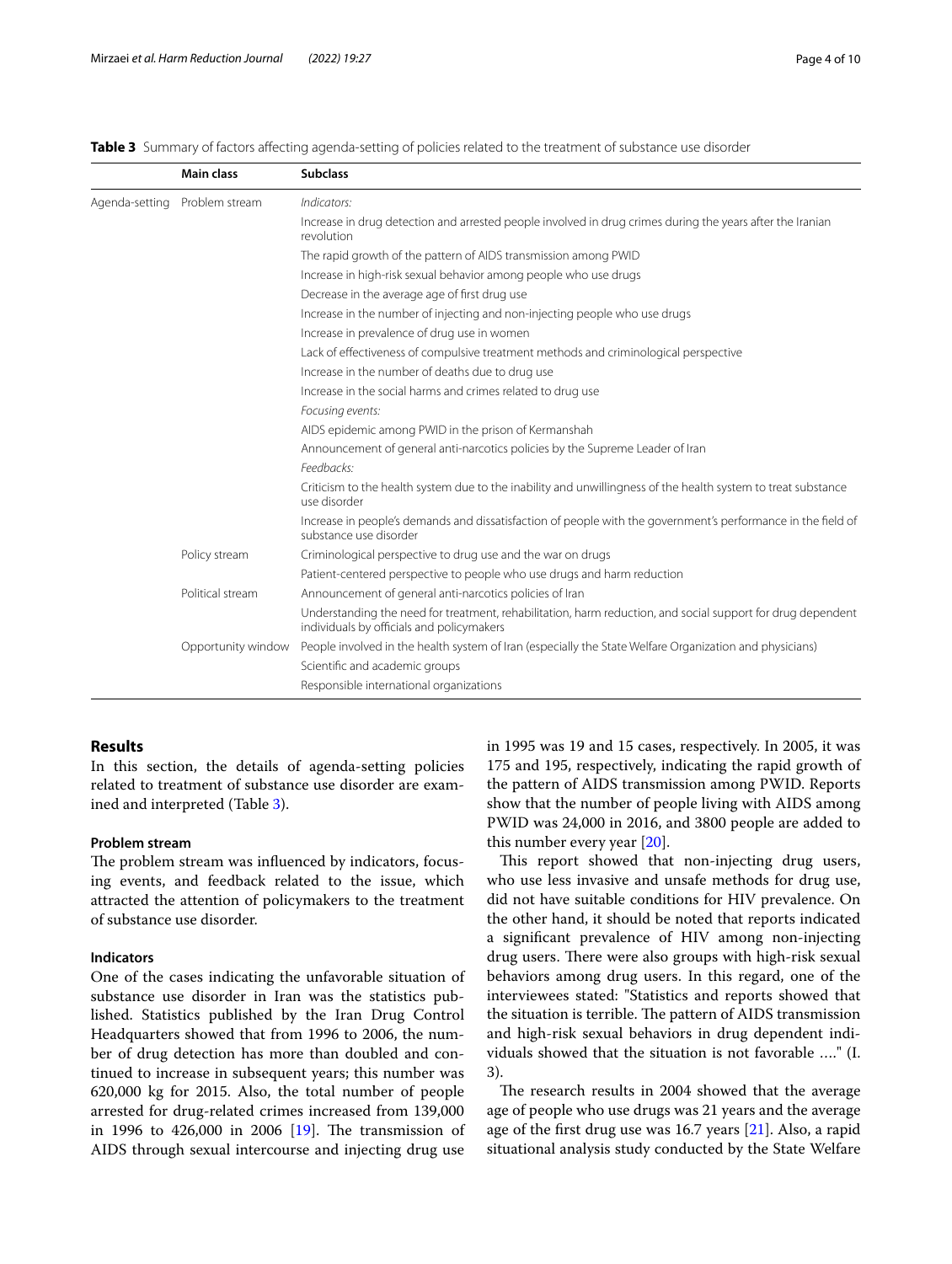<span id="page-3-0"></span>

| Table 3 Summary of factors affecting agenda-setting of policies related to the treatment of substance use disorder |  |  |  |  |  |  |  |
|--------------------------------------------------------------------------------------------------------------------|--|--|--|--|--|--|--|
|--------------------------------------------------------------------------------------------------------------------|--|--|--|--|--|--|--|

|                | <b>Main class</b>  | <b>Subclass</b>                                                                                                                                          |  |  |
|----------------|--------------------|----------------------------------------------------------------------------------------------------------------------------------------------------------|--|--|
| Agenda-setting | Problem stream     | Indicators:                                                                                                                                              |  |  |
|                |                    | Increase in drug detection and arrested people involved in drug crimes during the years after the Iranian<br>revolution                                  |  |  |
|                |                    | The rapid growth of the pattern of AIDS transmission among PWID                                                                                          |  |  |
|                |                    | Increase in high-risk sexual behavior among people who use drugs                                                                                         |  |  |
|                |                    | Decrease in the average age of first drug use                                                                                                            |  |  |
|                |                    | Increase in the number of injecting and non-injecting people who use drugs                                                                               |  |  |
|                |                    | Increase in prevalence of drug use in women                                                                                                              |  |  |
|                |                    | Lack of effectiveness of compulsive treatment methods and criminological perspective                                                                     |  |  |
|                |                    | Increase in the number of deaths due to drug use                                                                                                         |  |  |
|                |                    | Increase in the social harms and crimes related to drug use                                                                                              |  |  |
|                |                    | Focusing events:                                                                                                                                         |  |  |
|                |                    | AIDS epidemic among PWID in the prison of Kermanshah                                                                                                     |  |  |
|                |                    | Announcement of general anti-narcotics policies by the Supreme Leader of Iran                                                                            |  |  |
|                |                    | Feedbacks:                                                                                                                                               |  |  |
|                |                    | Criticism to the health system due to the inability and unwillingness of the health system to treat substance<br>use disorder                            |  |  |
|                |                    | Increase in people's demands and dissatisfaction of people with the government's performance in the field of<br>substance use disorder                   |  |  |
|                | Policy stream      | Criminological perspective to drug use and the war on drugs                                                                                              |  |  |
|                |                    | Patient-centered perspective to people who use drugs and harm reduction                                                                                  |  |  |
|                | Political stream   | Announcement of general anti-narcotics policies of Iran                                                                                                  |  |  |
|                |                    | Understanding the need for treatment, rehabilitation, harm reduction, and social support for drug dependent<br>individuals by officials and policymakers |  |  |
|                | Opportunity window | People involved in the health system of Iran (especially the State Welfare Organization and physicians)                                                  |  |  |
|                |                    | Scientific and academic groups                                                                                                                           |  |  |
|                |                    | Responsible international organizations                                                                                                                  |  |  |

## **Results**

In this section, the details of agenda-setting policies related to treatment of substance use disorder are examined and interpreted (Table [3\)](#page-3-0).

## **Problem stream**

The problem stream was influenced by indicators, focusing events, and feedback related to the issue, which attracted the attention of policymakers to the treatment of substance use disorder.

## **Indicators**

One of the cases indicating the unfavorable situation of substance use disorder in Iran was the statistics published. Statistics published by the Iran Drug Control Headquarters showed that from 1996 to 2006, the number of drug detection has more than doubled and continued to increase in subsequent years; this number was 620,000 kg for 2015. Also, the total number of people arrested for drug-related crimes increased from 139,000 in 1996 to  $426,000$  in 2006  $[19]$  $[19]$ . The transmission of AIDS through sexual intercourse and injecting drug use in 1995 was 19 and 15 cases, respectively. In 2005, it was 175 and 195, respectively, indicating the rapid growth of the pattern of AIDS transmission among PWID. Reports show that the number of people living with AIDS among PWID was 24,000 in 2016, and 3800 people are added to this number every year [\[20\]](#page-8-18).

This report showed that non-injecting drug users, who use less invasive and unsafe methods for drug use, did not have suitable conditions for HIV prevalence. On the other hand, it should be noted that reports indicated a signifcant prevalence of HIV among non-injecting drug users. There were also groups with high-risk sexual behaviors among drug users. In this regard, one of the interviewees stated: "Statistics and reports showed that the situation is terrible. The pattern of AIDS transmission and high-risk sexual behaviors in drug dependent individuals showed that the situation is not favorable …." (I. 3).

The research results in 2004 showed that the average age of people who use drugs was 21 years and the average age of the first drug use was 16.7 years [[21\]](#page-8-19). Also, a rapid situational analysis study conducted by the State Welfare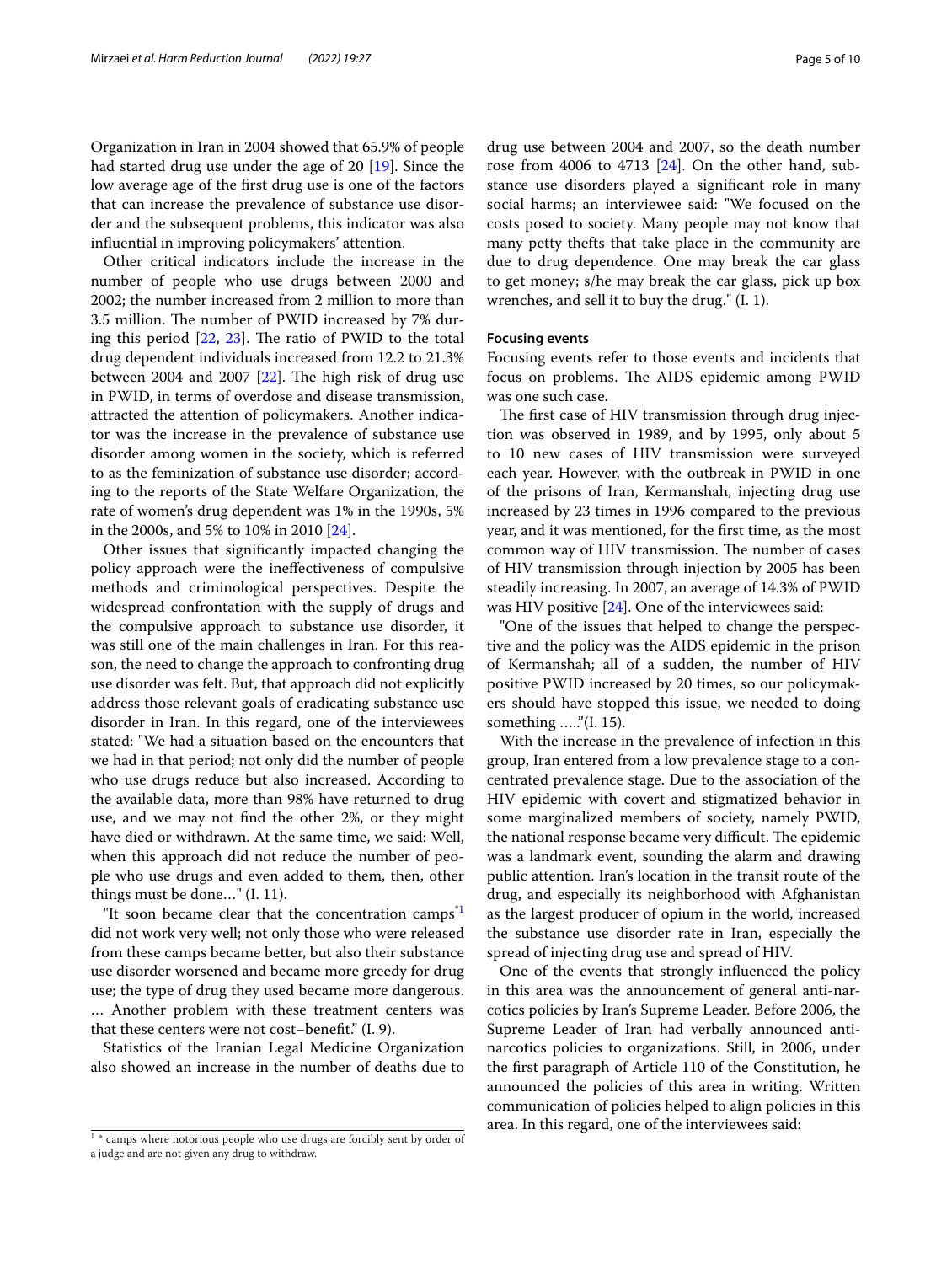Organization in Iran in 2004 showed that 65.9% of people had started drug use under the age of 20 [[19\]](#page-8-17). Since the low average age of the frst drug use is one of the factors that can increase the prevalence of substance use disorder and the subsequent problems, this indicator was also infuential in improving policymakers' attention.

Other critical indicators include the increase in the number of people who use drugs between 2000 and 2002; the number increased from 2 million to more than 3.5 million. The number of PWID increased by 7% during this period  $[22, 23]$  $[22, 23]$  $[22, 23]$ . The ratio of PWID to the total drug dependent individuals increased from 12.2 to 21.3% between 2004 and 2007  $[22]$  $[22]$  $[22]$ . The high risk of drug use in PWID, in terms of overdose and disease transmission, attracted the attention of policymakers. Another indicator was the increase in the prevalence of substance use disorder among women in the society, which is referred to as the feminization of substance use disorder; according to the reports of the State Welfare Organization, the rate of women's drug dependent was 1% in the 1990s, 5% in the 2000s, and 5% to 10% in 2010 [\[24](#page-8-22)].

Other issues that signifcantly impacted changing the policy approach were the inefectiveness of compulsive methods and criminological perspectives. Despite the widespread confrontation with the supply of drugs and the compulsive approach to substance use disorder, it was still one of the main challenges in Iran. For this reason, the need to change the approach to confronting drug use disorder was felt. But, that approach did not explicitly address those relevant goals of eradicating substance use disorder in Iran. In this regard, one of the interviewees stated: "We had a situation based on the encounters that we had in that period; not only did the number of people who use drugs reduce but also increased. According to the available data, more than 98% have returned to drug use, and we may not fnd the other 2%, or they might have died or withdrawn. At the same time, we said: Well, when this approach did not reduce the number of people who use drugs and even added to them, then, other things must be done…" (I. 11).

"It soon became clear that the concentration camps<sup>"1</sup> did not work very well; not only those who were released from these camps became better, but also their substance use disorder worsened and became more greedy for drug use; the type of drug they used became more dangerous. … Another problem with these treatment centers was that these centers were not cost–beneft." (I. 9).

Statistics of the Iranian Legal Medicine Organization also showed an increase in the number of deaths due to

drug use between 2004 and 2007, so the death number rose from 4006 to 4713  $[24]$  $[24]$ . On the other hand, substance use disorders played a signifcant role in many social harms; an interviewee said: "We focused on the costs posed to society. Many people may not know that many petty thefts that take place in the community are due to drug dependence. One may break the car glass to get money; s/he may break the car glass, pick up box wrenches, and sell it to buy the drug." (I. 1).

## **Focusing events**

Focusing events refer to those events and incidents that focus on problems. The AIDS epidemic among PWID was one such case.

The first case of HIV transmission through drug injection was observed in 1989, and by 1995, only about 5 to 10 new cases of HIV transmission were surveyed each year. However, with the outbreak in PWID in one of the prisons of Iran, Kermanshah, injecting drug use increased by 23 times in 1996 compared to the previous year, and it was mentioned, for the frst time, as the most common way of HIV transmission. The number of cases of HIV transmission through injection by 2005 has been steadily increasing. In 2007, an average of 14.3% of PWID was HIV positive [\[24\]](#page-8-22). One of the interviewees said:

"One of the issues that helped to change the perspective and the policy was the AIDS epidemic in the prison of Kermanshah; all of a sudden, the number of HIV positive PWID increased by 20 times, so our policymakers should have stopped this issue, we needed to doing something ….."(I. 15).

With the increase in the prevalence of infection in this group, Iran entered from a low prevalence stage to a concentrated prevalence stage. Due to the association of the HIV epidemic with covert and stigmatized behavior in some marginalized members of society, namely PWID, the national response became very difficult. The epidemic was a landmark event, sounding the alarm and drawing public attention. Iran's location in the transit route of the drug, and especially its neighborhood with Afghanistan as the largest producer of opium in the world, increased the substance use disorder rate in Iran, especially the spread of injecting drug use and spread of HIV.

One of the events that strongly infuenced the policy in this area was the announcement of general anti-narcotics policies by Iran's Supreme Leader. Before 2006, the Supreme Leader of Iran had verbally announced antinarcotics policies to organizations. Still, in 2006, under the frst paragraph of Article 110 of the Constitution, he announced the policies of this area in writing. Written communication of policies helped to align policies in this <sup>1</sup>\* camps where notorious people who use drugs are forcibly sent by order of **area.** In this regard, one of the interviewees said:

<span id="page-4-0"></span>

a judge and are not given any drug to withdraw.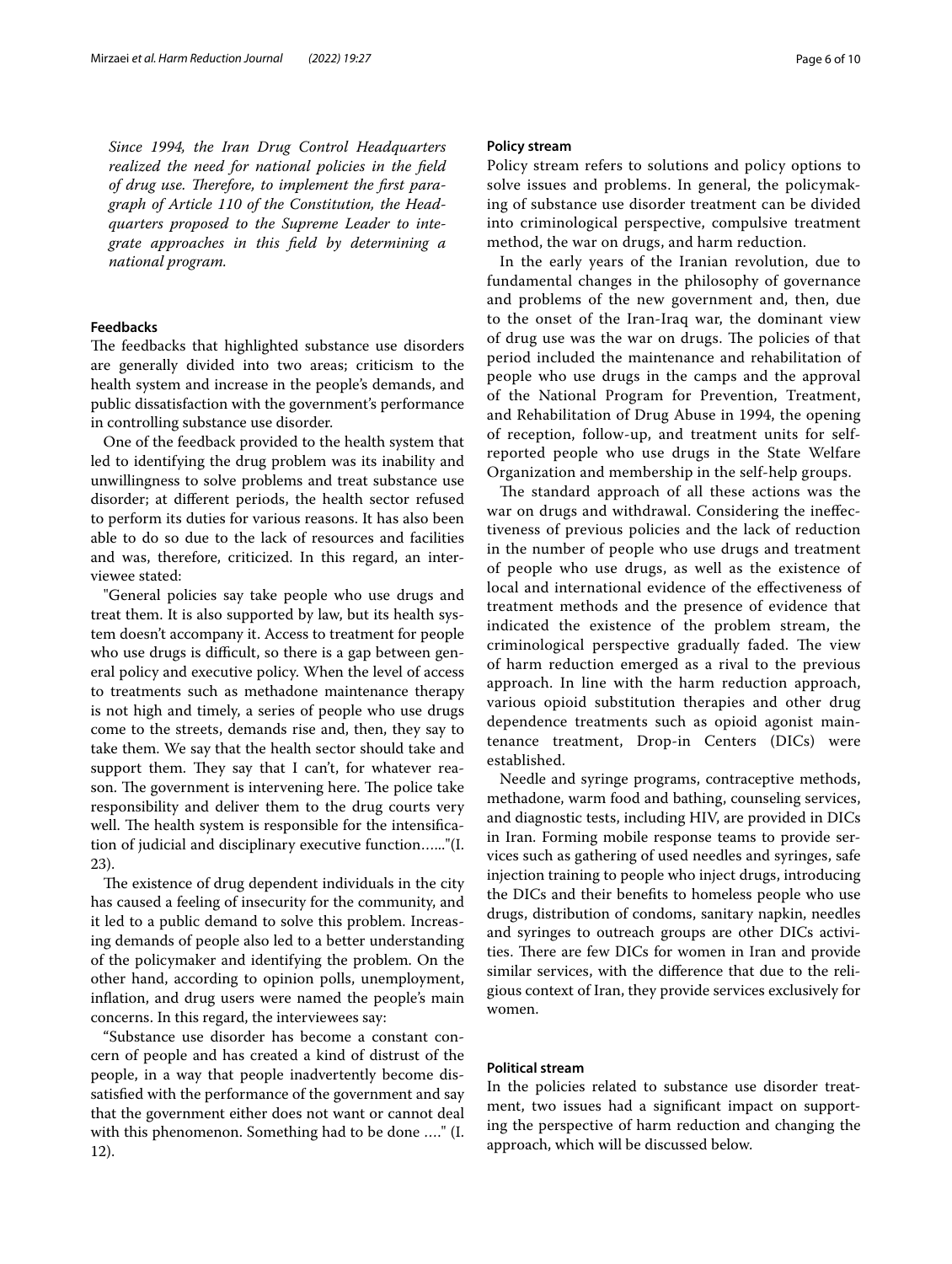*Since 1994, the Iran Drug Control Headquarters realized the need for national policies in the feld*  of drug use. Therefore, to implement the first para*graph of Article 110 of the Constitution, the Headquarters proposed to the Supreme Leader to integrate approaches in this feld by determining a national program.*

## **Feedbacks**

The feedbacks that highlighted substance use disorders are generally divided into two areas; criticism to the health system and increase in the people's demands, and public dissatisfaction with the government's performance in controlling substance use disorder.

One of the feedback provided to the health system that led to identifying the drug problem was its inability and unwillingness to solve problems and treat substance use disorder; at diferent periods, the health sector refused to perform its duties for various reasons. It has also been able to do so due to the lack of resources and facilities and was, therefore, criticized. In this regard, an interviewee stated:

"General policies say take people who use drugs and treat them. It is also supported by law, but its health system doesn't accompany it. Access to treatment for people who use drugs is difficult, so there is a gap between general policy and executive policy. When the level of access to treatments such as methadone maintenance therapy is not high and timely, a series of people who use drugs come to the streets, demands rise and, then, they say to take them. We say that the health sector should take and support them. They say that I can't, for whatever reason. The government is intervening here. The police take responsibility and deliver them to the drug courts very well. The health system is responsible for the intensification of judicial and disciplinary executive function…..."(I. 23).

The existence of drug dependent individuals in the city has caused a feeling of insecurity for the community, and it led to a public demand to solve this problem. Increasing demands of people also led to a better understanding of the policymaker and identifying the problem. On the other hand, according to opinion polls, unemployment, infation, and drug users were named the people's main concerns. In this regard, the interviewees say:

"Substance use disorder has become a constant concern of people and has created a kind of distrust of the people, in a way that people inadvertently become dissatisfed with the performance of the government and say that the government either does not want or cannot deal with this phenomenon. Something had to be done …." (I. 12).

## **Policy stream**

Policy stream refers to solutions and policy options to solve issues and problems. In general, the policymaking of substance use disorder treatment can be divided into criminological perspective, compulsive treatment method, the war on drugs, and harm reduction.

In the early years of the Iranian revolution, due to fundamental changes in the philosophy of governance and problems of the new government and, then, due to the onset of the Iran-Iraq war, the dominant view of drug use was the war on drugs. The policies of that period included the maintenance and rehabilitation of people who use drugs in the camps and the approval of the National Program for Prevention, Treatment, and Rehabilitation of Drug Abuse in 1994, the opening of reception, follow-up, and treatment units for selfreported people who use drugs in the State Welfare Organization and membership in the self-help groups.

The standard approach of all these actions was the war on drugs and withdrawal. Considering the inefectiveness of previous policies and the lack of reduction in the number of people who use drugs and treatment of people who use drugs, as well as the existence of local and international evidence of the effectiveness of treatment methods and the presence of evidence that indicated the existence of the problem stream, the criminological perspective gradually faded. The view of harm reduction emerged as a rival to the previous approach. In line with the harm reduction approach, various opioid substitution therapies and other drug dependence treatments such as opioid agonist maintenance treatment, Drop-in Centers (DICs) were established.

Needle and syringe programs, contraceptive methods, methadone, warm food and bathing, counseling services, and diagnostic tests, including HIV, are provided in DICs in Iran. Forming mobile response teams to provide services such as gathering of used needles and syringes, safe injection training to people who inject drugs, introducing the DICs and their benefts to homeless people who use drugs, distribution of condoms, sanitary napkin, needles and syringes to outreach groups are other DICs activities. There are few DICs for women in Iran and provide similar services, with the diference that due to the religious context of Iran, they provide services exclusively for women.

## **Political stream**

In the policies related to substance use disorder treatment, two issues had a signifcant impact on supporting the perspective of harm reduction and changing the approach, which will be discussed below.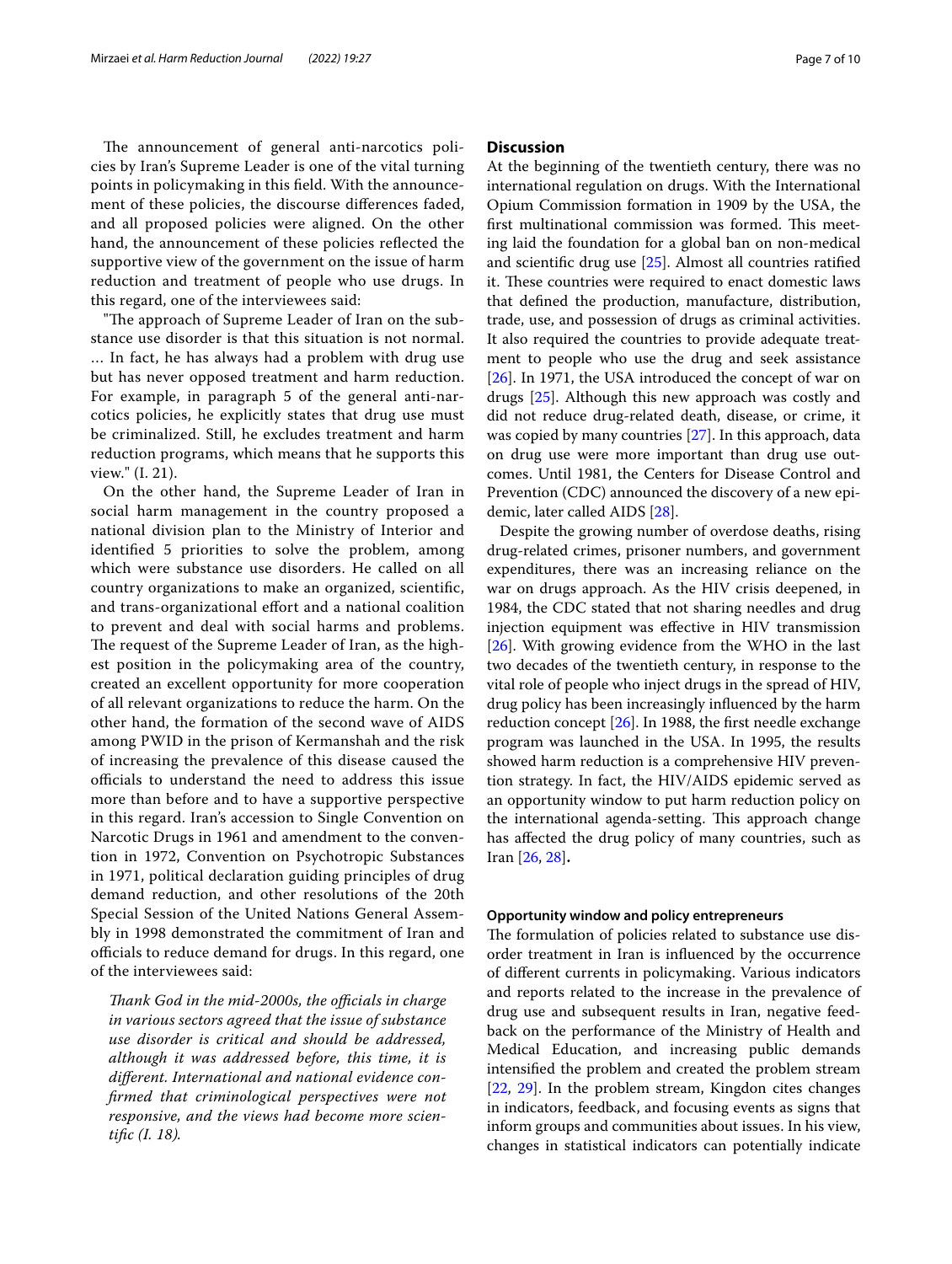The announcement of general anti-narcotics policies by Iran's Supreme Leader is one of the vital turning points in policymaking in this feld. With the announcement of these policies, the discourse diferences faded, and all proposed policies were aligned. On the other hand, the announcement of these policies refected the supportive view of the government on the issue of harm reduction and treatment of people who use drugs. In this regard, one of the interviewees said:

"The approach of Supreme Leader of Iran on the substance use disorder is that this situation is not normal. … In fact, he has always had a problem with drug use but has never opposed treatment and harm reduction. For example, in paragraph 5 of the general anti-narcotics policies, he explicitly states that drug use must be criminalized. Still, he excludes treatment and harm reduction programs, which means that he supports this view." (I. 21).

On the other hand, the Supreme Leader of Iran in social harm management in the country proposed a national division plan to the Ministry of Interior and identifed 5 priorities to solve the problem, among which were substance use disorders. He called on all country organizations to make an organized, scientifc, and trans-organizational efort and a national coalition to prevent and deal with social harms and problems. The request of the Supreme Leader of Iran, as the highest position in the policymaking area of the country, created an excellent opportunity for more cooperation of all relevant organizations to reduce the harm. On the other hand, the formation of the second wave of AIDS among PWID in the prison of Kermanshah and the risk of increasing the prevalence of this disease caused the officials to understand the need to address this issue more than before and to have a supportive perspective in this regard. Iran's accession to Single Convention on Narcotic Drugs in 1961 and amendment to the convention in 1972, Convention on Psychotropic Substances in 1971, political declaration guiding principles of drug demand reduction, and other resolutions of the 20th Special Session of the United Nations General Assembly in 1998 demonstrated the commitment of Iran and officials to reduce demand for drugs. In this regard, one of the interviewees said:

*Thank God in the mid-2000s, the officials in charge in various sectors agreed that the issue of substance use disorder is critical and should be addressed, although it was addressed before, this time, it is diferent. International and national evidence confrmed that criminological perspectives were not responsive, and the views had become more scientifc (I. 18).*

## **Discussion**

At the beginning of the twentieth century, there was no international regulation on drugs. With the International Opium Commission formation in 1909 by the USA, the first multinational commission was formed. This meeting laid the foundation for a global ban on non-medical and scientifc drug use [\[25](#page-8-23)]. Almost all countries ratifed it. These countries were required to enact domestic laws that defned the production, manufacture, distribution, trade, use, and possession of drugs as criminal activities. It also required the countries to provide adequate treatment to people who use the drug and seek assistance [[26\]](#page-8-24). In 1971, the USA introduced the concept of war on drugs [[25](#page-8-23)]. Although this new approach was costly and did not reduce drug-related death, disease, or crime, it was copied by many countries [[27](#page-8-25)]. In this approach, data on drug use were more important than drug use outcomes. Until 1981, the Centers for Disease Control and Prevention (CDC) announced the discovery of a new epidemic, later called AIDS [[28](#page-8-26)].

Despite the growing number of overdose deaths, rising drug-related crimes, prisoner numbers, and government expenditures, there was an increasing reliance on the war on drugs approach. As the HIV crisis deepened, in 1984, the CDC stated that not sharing needles and drug injection equipment was efective in HIV transmission [[26\]](#page-8-24). With growing evidence from the WHO in the last two decades of the twentieth century, in response to the vital role of people who inject drugs in the spread of HIV, drug policy has been increasingly infuenced by the harm reduction concept  $[26]$  $[26]$ . In 1988, the first needle exchange program was launched in the USA. In 1995, the results showed harm reduction is a comprehensive HIV prevention strategy. In fact, the HIV/AIDS epidemic served as an opportunity window to put harm reduction policy on the international agenda-setting. This approach change has afected the drug policy of many countries, such as Iran [\[26](#page-8-24), [28](#page-8-26)]**.**

## **Opportunity window and policy entrepreneurs**

The formulation of policies related to substance use disorder treatment in Iran is infuenced by the occurrence of diferent currents in policymaking. Various indicators and reports related to the increase in the prevalence of drug use and subsequent results in Iran, negative feedback on the performance of the Ministry of Health and Medical Education, and increasing public demands intensifed the problem and created the problem stream [[22,](#page-8-20) [29\]](#page-8-27). In the problem stream, Kingdon cites changes in indicators, feedback, and focusing events as signs that inform groups and communities about issues. In his view, changes in statistical indicators can potentially indicate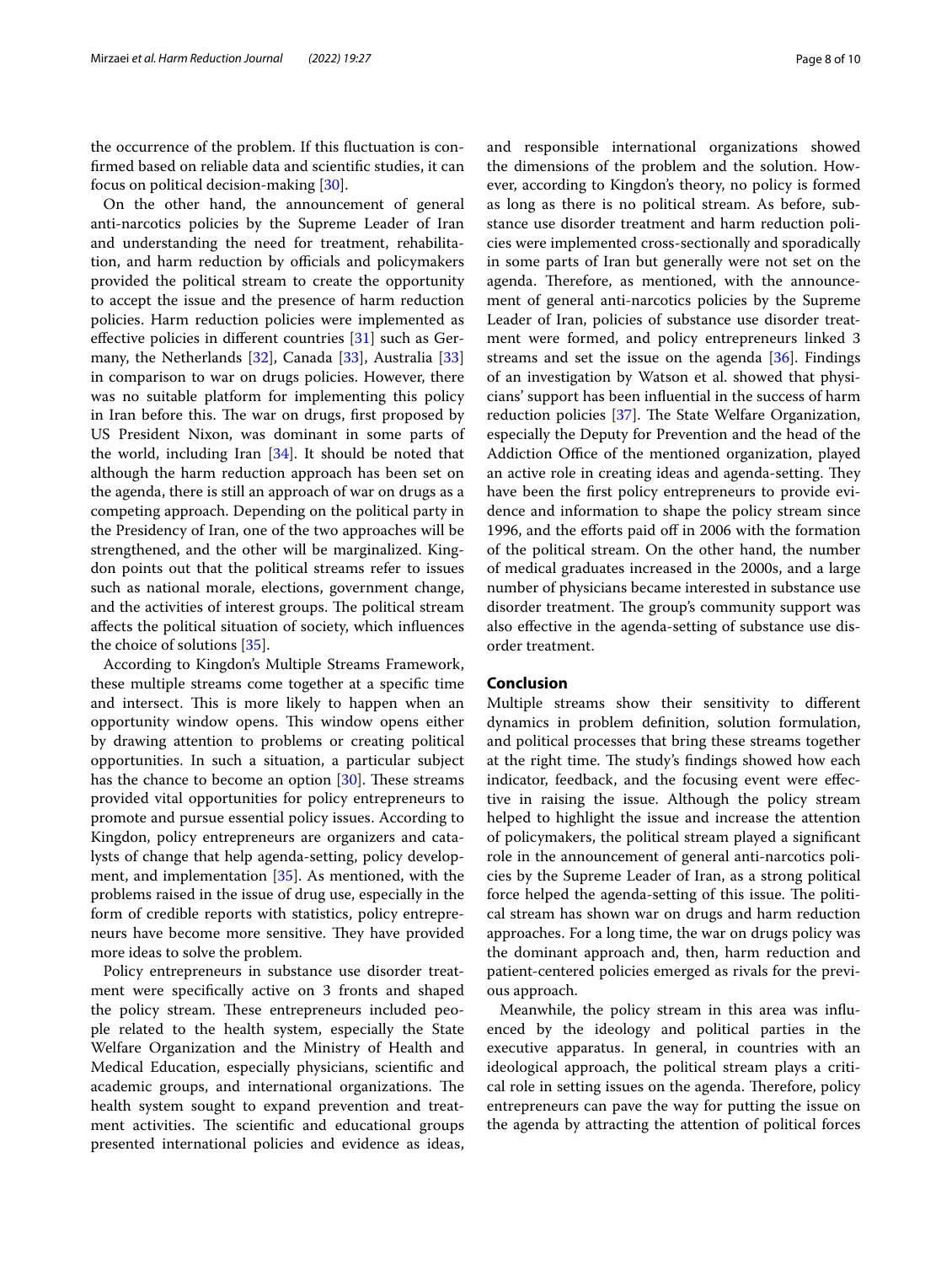the occurrence of the problem. If this fuctuation is confrmed based on reliable data and scientifc studies, it can focus on political decision-making [[30\]](#page-8-28).

On the other hand, the announcement of general anti-narcotics policies by the Supreme Leader of Iran and understanding the need for treatment, rehabilitation, and harm reduction by officials and policymakers provided the political stream to create the opportunity to accept the issue and the presence of harm reduction policies. Harm reduction policies were implemented as efective policies in diferent countries [[31\]](#page-8-29) such as Germany, the Netherlands [\[32](#page-8-30)], Canada [[33\]](#page-9-0), Australia [[33](#page-9-0)] in comparison to war on drugs policies. However, there was no suitable platform for implementing this policy in Iran before this. The war on drugs, first proposed by US President Nixon, was dominant in some parts of the world, including Iran [[34\]](#page-9-1). It should be noted that although the harm reduction approach has been set on the agenda, there is still an approach of war on drugs as a competing approach. Depending on the political party in the Presidency of Iran, one of the two approaches will be strengthened, and the other will be marginalized. Kingdon points out that the political streams refer to issues such as national morale, elections, government change, and the activities of interest groups. The political stream afects the political situation of society, which infuences the choice of solutions [[35\]](#page-9-2).

According to Kingdon's Multiple Streams Framework, these multiple streams come together at a specifc time and intersect. This is more likely to happen when an opportunity window opens. This window opens either by drawing attention to problems or creating political opportunities. In such a situation, a particular subject has the chance to become an option  $[30]$  $[30]$ . These streams provided vital opportunities for policy entrepreneurs to promote and pursue essential policy issues. According to Kingdon, policy entrepreneurs are organizers and catalysts of change that help agenda-setting, policy development, and implementation [[35\]](#page-9-2). As mentioned, with the problems raised in the issue of drug use, especially in the form of credible reports with statistics, policy entrepreneurs have become more sensitive. They have provided more ideas to solve the problem.

Policy entrepreneurs in substance use disorder treatment were specifcally active on 3 fronts and shaped the policy stream. These entrepreneurs included people related to the health system, especially the State Welfare Organization and the Ministry of Health and Medical Education, especially physicians, scientifc and academic groups, and international organizations. The health system sought to expand prevention and treatment activities. The scientific and educational groups presented international policies and evidence as ideas, and responsible international organizations showed the dimensions of the problem and the solution. However, according to Kingdon's theory, no policy is formed as long as there is no political stream. As before, substance use disorder treatment and harm reduction policies were implemented cross-sectionally and sporadically in some parts of Iran but generally were not set on the agenda. Therefore, as mentioned, with the announcement of general anti-narcotics policies by the Supreme Leader of Iran, policies of substance use disorder treatment were formed, and policy entrepreneurs linked 3 streams and set the issue on the agenda [\[36](#page-9-3)]. Findings of an investigation by Watson et al. showed that physicians' support has been infuential in the success of harm reduction policies  $[37]$  $[37]$ . The State Welfare Organization, especially the Deputy for Prevention and the head of the Addiction Office of the mentioned organization, played an active role in creating ideas and agenda-setting. They have been the frst policy entrepreneurs to provide evidence and information to shape the policy stream since 1996, and the efforts paid off in 2006 with the formation of the political stream. On the other hand, the number of medical graduates increased in the 2000s, and a large number of physicians became interested in substance use disorder treatment. The group's community support was also efective in the agenda-setting of substance use disorder treatment.

## **Conclusion**

Multiple streams show their sensitivity to diferent dynamics in problem defnition, solution formulation, and political processes that bring these streams together at the right time. The study's findings showed how each indicator, feedback, and the focusing event were efective in raising the issue. Although the policy stream helped to highlight the issue and increase the attention of policymakers, the political stream played a signifcant role in the announcement of general anti-narcotics policies by the Supreme Leader of Iran, as a strong political force helped the agenda-setting of this issue. The political stream has shown war on drugs and harm reduction approaches. For a long time, the war on drugs policy was the dominant approach and, then, harm reduction and patient-centered policies emerged as rivals for the previous approach.

Meanwhile, the policy stream in this area was infuenced by the ideology and political parties in the executive apparatus. In general, in countries with an ideological approach, the political stream plays a critical role in setting issues on the agenda. Therefore, policy entrepreneurs can pave the way for putting the issue on the agenda by attracting the attention of political forces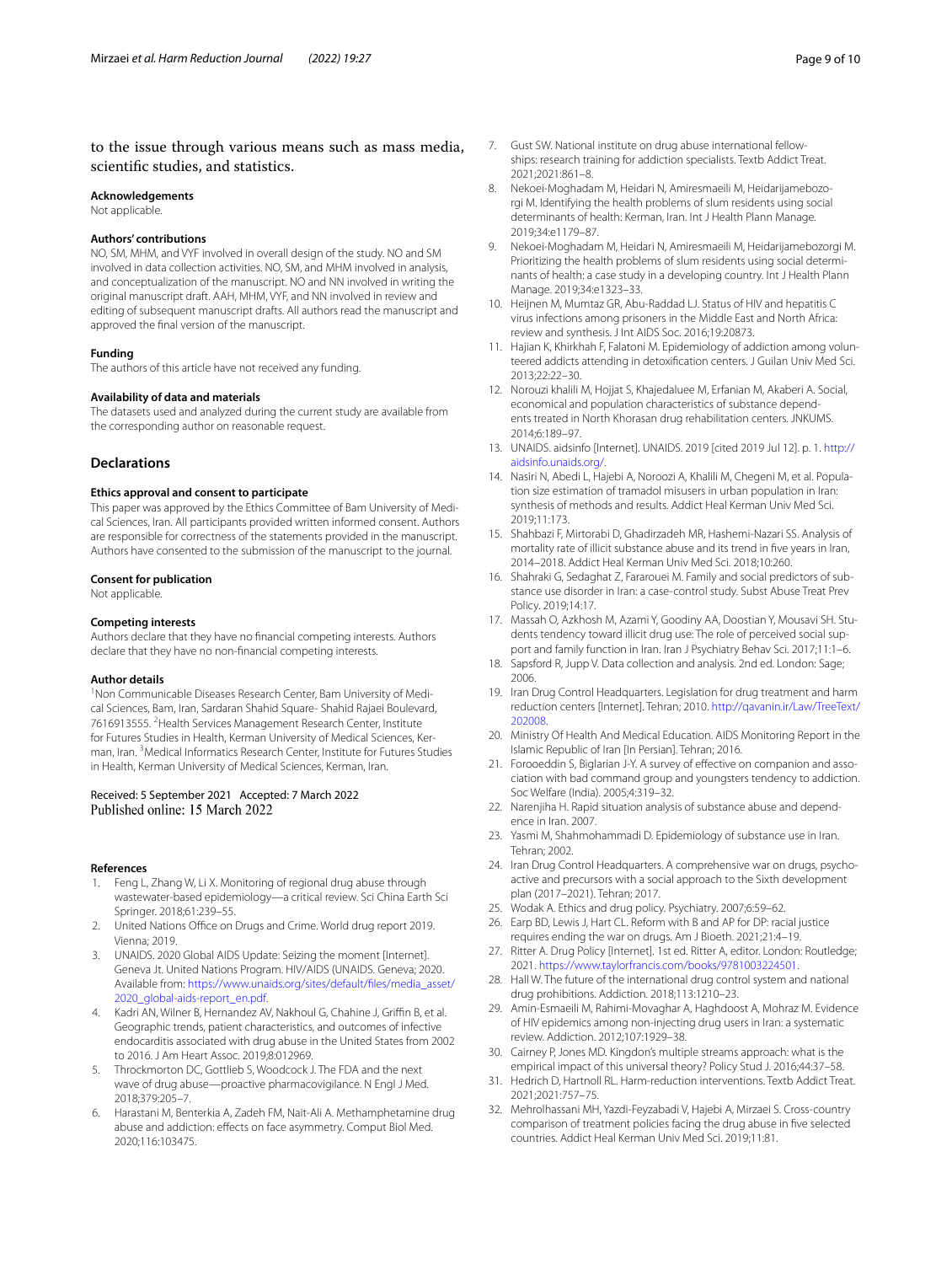## to the issue through various means such as mass media, scientifc studies, and statistics.

#### **Acknowledgements**

Not applicable.

#### **Authors' contributions**

NO, SM, MHM, and VYF involved in overall design of the study. NO and SM involved in data collection activities. NO, SM, and MHM involved in analysis, and conceptualization of the manuscript. NO and NN involved in writing the original manuscript draft. AAH, MHM, VYF, and NN involved in review and editing of subsequent manuscript drafts. All authors read the manuscript and approved the fnal version of the manuscript.

#### **Funding**

The authors of this article have not received any funding.

#### **Availability of data and materials**

The datasets used and analyzed during the current study are available from the corresponding author on reasonable request.

## **Declarations**

#### **Ethics approval and consent to participate**

This paper was approved by the Ethics Committee of Bam University of Medical Sciences, Iran. All participants provided written informed consent. Authors are responsible for correctness of the statements provided in the manuscript. Authors have consented to the submission of the manuscript to the journal.

#### **Consent for publication**

Not applicable.

### **Competing interests**

Authors declare that they have no fnancial competing interests. Authors declare that they have no non-fnancial competing interests.

#### **Author details**

<sup>1</sup> Non Communicable Diseases Research Center, Bam University of Medical Sciences, Bam, Iran, Sardaran Shahid Square‑ Shahid Rajaei Boulevard, 7616913555. <sup>2</sup> Health Services Management Research Center, Institute for Futures Studies in Health, Kerman University of Medical Sciences, Kerman, Iran. <sup>3</sup> Medical Informatics Research Center, Institute for Futures Studies in Health, Kerman University of Medical Sciences, Kerman, Iran.

# Received: 5 September 2021 Accepted: 7 March 2022

#### **References**

- <span id="page-8-0"></span>1. Feng L, Zhang W, Li X. Monitoring of regional drug abuse through wastewater-based epidemiology—a critical review. Sci China Earth Sci Springer. 2018;61:239-55.
- <span id="page-8-1"></span>2. United Nations Office on Drugs and Crime. World drug report 2019. Vienna; 2019.
- <span id="page-8-2"></span>3. UNAIDS. 2020 Global AIDS Update: Seizing the moment [Internet]. Geneva Jt. United Nations Program. HIV/AIDS (UNAIDS. Geneva; 2020. Available from: [https://www.unaids.org/sites/default/fles/media\\_asset/](https://www.unaids.org/sites/default/files/media_asset/2020_global-aids-report_en.pdf) [2020\\_global-aids-report\\_en.pdf](https://www.unaids.org/sites/default/files/media_asset/2020_global-aids-report_en.pdf).
- <span id="page-8-3"></span>4. Kadri AN, Wilner B, Hernandez AV, Nakhoul G, Chahine J, Griffin B, et al. Geographic trends, patient characteristics, and outcomes of infective endocarditis associated with drug abuse in the United States from 2002 to 2016. J Am Heart Assoc. 2019;8:012969.
- <span id="page-8-4"></span>5. Throckmorton DC, Gottlieb S, Woodcock J. The FDA and the next wave of drug abuse—proactive pharmacovigilance. N Engl J Med. 2018;379:205–7.
- <span id="page-8-5"></span>6. Harastani M, Benterkia A, Zadeh FM, Nait-Ali A. Methamphetamine drug abuse and addiction: effects on face asymmetry. Comput Biol Med. 2020;116:103475.
- <span id="page-8-6"></span>7. Gust SW. National institute on drug abuse international fellowships: research training for addiction specialists. Textb Addict Treat. 2021;2021:861–8.
- <span id="page-8-7"></span>8. Nekoei-Moghadam M, Heidari N, Amiresmaeili M, Heidarijamebozorgi M. Identifying the health problems of slum residents using social determinants of health: Kerman, Iran. Int J Health Plann Manage. 2019;34:e1179–87.
- <span id="page-8-8"></span>9. Nekoei-Moghadam M, Heidari N, Amiresmaeili M, Heidarijamebozorgi M. Prioritizing the health problems of slum residents using social determinants of health: a case study in a developing country. Int J Health Plann Manage. 2019;34:e1323–33.
- <span id="page-8-9"></span>10. Heijnen M, Mumtaz GR, Abu-Raddad LJ. Status of HIV and hepatitis C virus infections among prisoners in the Middle East and North Africa: review and synthesis. J Int AIDS Soc. 2016;19:20873.
- <span id="page-8-10"></span>11. Hajian K, Khirkhah F, Falatoni M. Epidemiology of addiction among volunteered addicts attending in detoxifcation centers. J Guilan Univ Med Sci. 2013;22:22–30.
- <span id="page-8-11"></span>12. Norouzi khalili M, Hojjat S, Khajedaluee M, Erfanian M, Akaberi A. Social, economical and population characteristics of substance dependents treated in North Khorasan drug rehabilitation centers. JNKUMS. 2014;6:189–97.
- <span id="page-8-12"></span>13. UNAIDS. aidsinfo [Internet]. UNAIDS. 2019 [cited 2019 Jul 12]. p. 1. [http://](http://aidsinfo.unaids.org/) [aidsinfo.unaids.org/](http://aidsinfo.unaids.org/).
- <span id="page-8-13"></span>14. Nasiri N, Abedi L, Hajebi A, Noroozi A, Khalili M, Chegeni M, et al. Population size estimation of tramadol misusers in urban population in Iran: synthesis of methods and results. Addict Heal Kerman Univ Med Sci. 2019;11:173.
- <span id="page-8-14"></span>15. Shahbazi F, Mirtorabi D, Ghadirzadeh MR, Hashemi-Nazari SS. Analysis of mortality rate of illicit substance abuse and its trend in fve years in Iran, 2014–2018. Addict Heal Kerman Univ Med Sci. 2018;10:260.
- 16. Shahraki G, Sedaghat Z, Fararouei M. Family and social predictors of substance use disorder in Iran: a case-control study. Subst Abuse Treat Prev Policy. 2019;14:17.
- <span id="page-8-15"></span>17. Massah O, Azkhosh M, Azami Y, Goodiny AA, Doostian Y, Mousavi SH. Students tendency toward illicit drug use: The role of perceived social support and family function in Iran. Iran J Psychiatry Behav Sci. 2017;11:1–6.
- <span id="page-8-16"></span>18. Sapsford R, Jupp V. Data collection and analysis. 2nd ed. London: Sage; 2006.
- <span id="page-8-17"></span>19. Iran Drug Control Headquarters. Legislation for drug treatment and harm reduction centers [Internet]. Tehran; 2010. [http://qavanin.ir/Law/TreeText/](http://qavanin.ir/Law/TreeText/202008) [202008.](http://qavanin.ir/Law/TreeText/202008)
- <span id="page-8-18"></span>20. Ministry Of Health And Medical Education. AIDS Monitoring Report in the Islamic Republic of Iran [In Persian]. Tehran; 2016.
- <span id="page-8-19"></span>21. Forooeddin S, Biglarian J-Y. A survey of effective on companion and association with bad command group and youngsters tendency to addiction. Soc Welfare (India). 2005;4:319–32.
- <span id="page-8-20"></span>22. Narenjiha H. Rapid situation analysis of substance abuse and dependence in Iran. 2007.
- <span id="page-8-21"></span>23. Yasmi M, Shahmohammadi D. Epidemiology of substance use in Iran. Tehran; 2002.
- <span id="page-8-22"></span>24. Iran Drug Control Headquarters. A comprehensive war on drugs, psychoactive and precursors with a social approach to the Sixth development plan (2017–2021). Tehran; 2017.
- <span id="page-8-23"></span>25. Wodak A. Ethics and drug policy. Psychiatry. 2007;6:59–62.
- <span id="page-8-24"></span>26. Earp BD, Lewis J, Hart CL. Reform with B and AP for DP: racial justice requires ending the war on drugs. Am J Bioeth. 2021;21:4–19.
- <span id="page-8-25"></span>27. Ritter A. Drug Policy [Internet]. 1st ed. Ritter A, editor. London: Routledge; 2021. [https://www.taylorfrancis.com/books/9781003224501.](https://www.taylorfrancis.com/books/9781003224501)
- <span id="page-8-26"></span>28. Hall W. The future of the international drug control system and national drug prohibitions. Addiction. 2018;113:1210–23.
- <span id="page-8-27"></span>29. Amin-Esmaeili M, Rahimi-Movaghar A, Haghdoost A, Mohraz M. Evidence of HIV epidemics among non-injecting drug users in Iran: a systematic review. Addiction. 2012;107:1929–38.
- <span id="page-8-28"></span>30. Cairney P, Jones MD. Kingdon's multiple streams approach: what is the empirical impact of this universal theory? Policy Stud J. 2016;44:37–58.
- <span id="page-8-29"></span>31. Hedrich D, Hartnoll RL. Harm-reduction interventions. Textb Addict Treat. 2021;2021:757–75.
- <span id="page-8-30"></span>32. Mehrolhassani MH, Yazdi-Feyzabadi V, Hajebi A, Mirzaei S. Cross-country comparison of treatment policies facing the drug abuse in fve selected countries. Addict Heal Kerman Univ Med Sci. 2019;11:81.